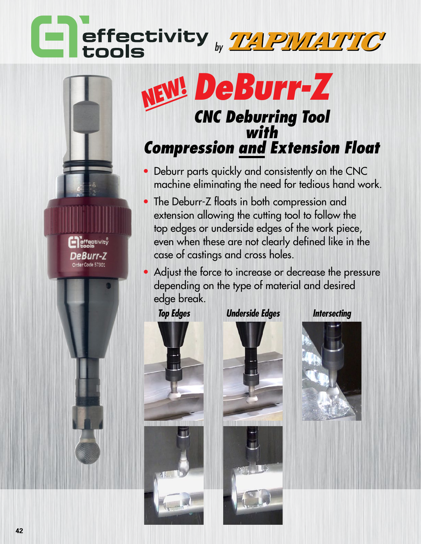## effectivity www.com

## **DeBurr-Z NEW!** *CNC Deburring Tool with Compression and Extension Float*

- Deburr parts quickly and consistently on the CNC machine eliminating the need for tedious hand work.
- The Deburr-Z floats in both compression and extension allowing the cutting tool to follow the top edges or underside edges of the work piece, even when these are not clearly defined like in the case of castings and cross holes.
- Adjust the force to increase or decrease the pressure depending on the type of material and desired edge break.

effectivity

DeBurr-Z Order Code 57301



*Top Edges Underside Edges Intersecting*